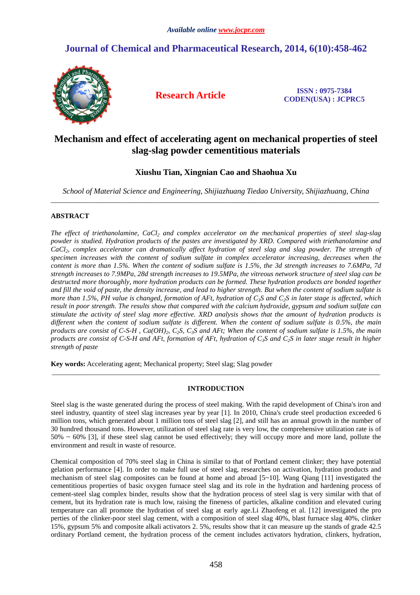# **Journal of Chemical and Pharmaceutical Research, 2014, 6(10):458-462**



**Research Article ISSN : 0975-7384 CODEN(USA) : JCPRC5**

# **Mechanism and effect of accelerating agent on mechanical properties of steel slag-slag powder cementitious materials**

## **Xiushu Tian, Xingnian Cao and Shaohua Xu**

*School of Material Science and Engineering, Shijiazhuang Tiedao University, Shijiazhuang, China*  \_\_\_\_\_\_\_\_\_\_\_\_\_\_\_\_\_\_\_\_\_\_\_\_\_\_\_\_\_\_\_\_\_\_\_\_\_\_\_\_\_\_\_\_\_\_\_\_\_\_\_\_\_\_\_\_\_\_\_\_\_\_\_\_\_\_\_\_\_\_\_\_\_\_\_\_\_\_\_\_\_\_\_\_\_\_\_\_\_\_\_\_\_

## **ABSTRACT**

*The effect of triethanolamine, CaCl2 and complex accelerator on the mechanical properties of steel slag-slag powder is studied. Hydration products of the pastes are investigated by XRD. Compared with triethanolamine and CaCl2, complex accelerator can dramatically affect hydration of steel slag and slag powder. The strength of specimen increases with the content of sodium sulfate in complex accelerator increasing, decreases when the content is more than 1.5%. When the content of sodium sulfate is 1.5%, the 3d strength increases to 7.6MPa, 7d strength increases to 7.9MPa, 28d strength increases to 19.5MPa, the vitreous network structure of steel slag can be destructed more thoroughly, more hydration products can be formed. These hydration products are bonded together and fill the void of paste, the density increase, and lead to higher strength. But when the content of sodium sulfate is more than 1.5%, PH value is changed, formation of AFt, hydration of C3S and C2S in later stage is affected, which result in poor strength. The results show that compared with the calcium hydroxide, gypsum and sodium sulfate can stimulate the activity of steel slag more effective. XRD analysis shows that the amount of hydration products is different when the content of sodium sulfate is different. When the content of sodium sulfate is 0.5%, the main products are consist of C-S-H, Ca(OH)*<sup>2</sup>, C<sub>2</sub>S, C<sub>3</sub>S and AFt; When the content of sodium sulfate is 1.5%, the main *products are consist of C-S-H and AFt, formation of AFt, hydration of*  $C_3S$  *and*  $C_2S$  *in later stage result in higher strength of paste* 

**Key words:** Accelerating agent; Mechanical property; Steel slag; Slag powder

## **INTRODUCTION**

\_\_\_\_\_\_\_\_\_\_\_\_\_\_\_\_\_\_\_\_\_\_\_\_\_\_\_\_\_\_\_\_\_\_\_\_\_\_\_\_\_\_\_\_\_\_\_\_\_\_\_\_\_\_\_\_\_\_\_\_\_\_\_\_\_\_\_\_\_\_\_\_\_\_\_\_\_\_\_\_\_\_\_\_\_\_\_\_\_\_\_\_\_

Steel slag is the waste generated during the process of steel making. With the rapid development of China's iron and steel industry, quantity of steel slag increases year by year [1]. In 2010, China's crude steel production exceeded 6 million tons, which generated about 1 million tons of steel slag [2], and still has an annual growth in the number of 30 hundred thousand tons. However, utilization of steel slag rate is very low, the comprehensive utilization rate is of 50% ~ 60% [3], if these steel slag cannot be used effectively; they will occupy more and more land, pollute the environment and result in waste of resource.

Chemical composition of 70% steel slag in China is similar to that of Portland cement clinker; they have potential gelation performance [4]. In order to make full use of steel slag, researches on activation, hydration products and mechanism of steel slag composites can be found at home and abroad [5~10]. Wang Qiang [11] investigated the cementitious properties of basic oxygen furnace steel slag and its role in the hydration and hardening process of cement-steel slag complex binder, results show that the hydration process of steel slag is very similar with that of cement, but its hydration rate is much low, raising the fineness of particles, alkaline condition and elevated curing temperature can all promote the hydration of steel slag at early age.Li Zhaofeng et al. [12] investigated the pro perties of the clinker-poor steel slag cement, with a composition of steel slag 40%, blast furnace slag 40%, clinker 15%, gypsum 5% and composite alkali activators 2. 5%, results show that it can measure up the stands of grade 42.5 ordinary Portland cement, the hydration process of the cement includes activators hydration, clinkers, hydration,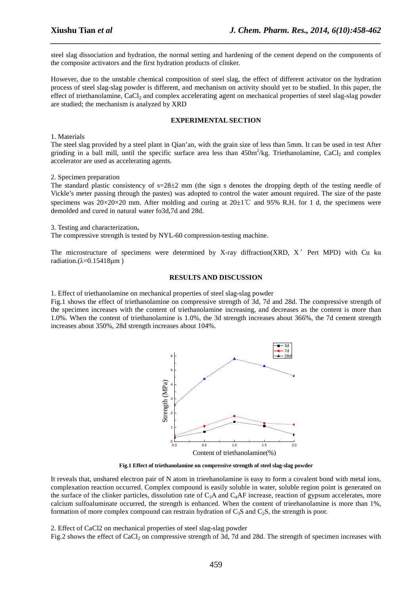steel slag dissociation and hydration, the normal setting and hardening of the cement depend on the components of the composite activators and the first hydration products of clinker.

*\_\_\_\_\_\_\_\_\_\_\_\_\_\_\_\_\_\_\_\_\_\_\_\_\_\_\_\_\_\_\_\_\_\_\_\_\_\_\_\_\_\_\_\_\_\_\_\_\_\_\_\_\_\_\_\_\_\_\_\_\_\_\_\_\_\_\_\_\_\_\_\_\_\_\_\_\_\_*

However, due to the unstable chemical composition of steel slag, the effect of different activator on the hydration process of steel slag-slag powder is different, and mechanism on activity should yet to be studied. In this paper, the effect of triethanolamine, CaCl<sub>2</sub> and complex accelerating agent on mechanical properties of steel slag-slag powder are studied; the mechanism is analyzed by XRD

### **EXPERIMENTAL SECTION**

1. Materials

The steel slag provided by a steel plant in Qian'an, with the grain size of less than 5mm. It can be used in test After grinding in a ball mill, until the specific surface area less than  $450m^2/kg$ . Triethanolamine, CaCl<sub>2</sub> and complex accelerator are used as accelerating agents.

#### 2. Specimen preparation

The standard plastic consistency of  $s=28\pm 2$  mm (the sign s denotes the dropping depth of the testing needle of Vickle's meter passing through the pastes) was adopted to control the water amount required. The size of the paste specimens was  $20\times20\times20$  mm. After molding and curing at  $20\pm1$ °C and 95% R.H. for 1 d, the specimens were demolded and cured in natural water fo3d,7d and 28d.

#### 3. Testing and characterization**.**

The compressive strength is tested by NYL-60 compression-testing machine.

The microstructure of specimens were determined by X-ray diffraction(XRD, X'Pert MPD) with Cu kα radiation.( $λ=0.15418µm$ )

#### **RESULTS AND DISCUSSION**

1. Effect of triethanolamine on mechanical properties of steel slag-slag powder

Fig.1 shows the effect of triethanolamine on compressive strength of 3d, 7d and 28d. The compressive strength of the specimen increases with the content of triethanolamine increasing, and decreases as the content is more than 1.0%. When the content of triethanolamine is 1.0%, the 3d strength increases about 366%, the 7d cement strength increases about 350%, 28d strength increases about 104%.



**Fig.1 Effect of triethanolamine on compressive strength of steel slag-slag powder** 

It reveals that, unshared electron pair of N atom in trieehanolamine is easy to form a covalent bond with metal ions, complexation reaction occurred. Complex compound is easily soluble in water, soluble region point is generated on the surface of the clinker particles, dissolution rate of  $C_3A$  and  $C_4AF$  increase, reaction of gypsum accelerates, more calcium sulfoaluminate occurred, the strength is enhanced. When the content of trieehanolamine is more than 1%, formation of more complex compound can restrain hydration of  $C_3S$  and  $C_2S$ , the strength is poor.

#### 2. Effect of CaCl2 on mechanical properties of steel slag-slag powder

Fig.2 shows the effect of CaCl<sub>2</sub> on compressive strength of 3d, 7d and 28d. The strength of specimen increases with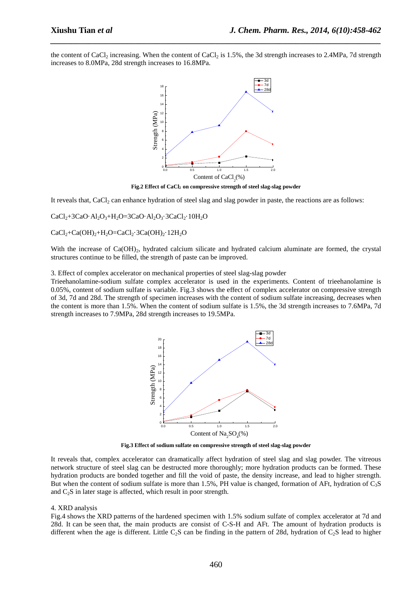the content of CaCl<sub>2</sub> increasing. When the content of CaCl<sub>2</sub> is 1.5%, the 3d strength increases to 2.4MPa, 7d strength increases to 8.0MPa, 28d strength increases to 16.8MPa.

*\_\_\_\_\_\_\_\_\_\_\_\_\_\_\_\_\_\_\_\_\_\_\_\_\_\_\_\_\_\_\_\_\_\_\_\_\_\_\_\_\_\_\_\_\_\_\_\_\_\_\_\_\_\_\_\_\_\_\_\_\_\_\_\_\_\_\_\_\_\_\_\_\_\_\_\_\_\_*



**Fig.2 Effect of CaCl<sup>2</sup> on compressive strength of steel slag-slag powder** 

It reveals that, CaCl<sub>2</sub> can enhance hydration of steel slag and slag powder in paste, the reactions are as follows:

 $CaCl<sub>2</sub>+3CaO·Al<sub>2</sub>O<sub>3</sub>+H<sub>2</sub>O=3CaO·Al<sub>2</sub>O<sub>3</sub>·3CaCl<sub>2</sub>·10H<sub>2</sub>O$ 

 $CaCl<sub>2</sub>+Ca(OH)<sub>2</sub>+H<sub>2</sub>O=CaCl<sub>2</sub>·3Ca(OH)<sub>2</sub>·12H<sub>2</sub>O$ 

With the increase of  $Ca(OH)_{2}$ , hydrated calcium silicate and hydrated calcium aluminate are formed, the crystal structures continue to be filled, the strength of paste can be improved.

3. Effect of complex accelerator on mechanical properties of steel slag-slag powder

Trieehanolamine-sodium sulfate complex accelerator is used in the experiments. Content of trieehanolamine is 0.05%, content of sodium sulfate is variable. Fig.3 shows the effect of complex accelerator on compressive strength of 3d, 7d and 28d. The strength of specimen increases with the content of sodium sulfate increasing, decreases when the content is more than 1.5%. When the content of sodium sulfate is 1.5%, the 3d strength increases to 7.6MPa, 7d strength increases to 7.9MPa, 28d strength increases to 19.5MPa.



**Fig.3 Effect of sodium sulfate on compressive strength of steel slag-slag powder** 

It reveals that, complex accelerator can dramatically affect hydration of steel slag and slag powder. The vitreous network structure of steel slag can be destructed more thoroughly; more hydration products can be formed. These hydration products are bonded together and fill the void of paste, the density increase, and lead to higher strength. But when the content of sodium sulfate is more than 1.5%, PH value is changed, formation of AFt, hydration of C<sub>3</sub>S and  $C_2S$  in later stage is affected, which result in poor strength.

#### 4. XRD analysis

Fig.4 shows the XRD patterns of the hardened specimen with 1.5% sodium sulfate of complex accelerator at 7d and 28d. It can be seen that, the main products are consist of C-S-H and AFt. The amount of hydration products is different when the age is different. Little C<sub>2</sub>S can be finding in the pattern of 28d, hydration of C<sub>2</sub>S lead to higher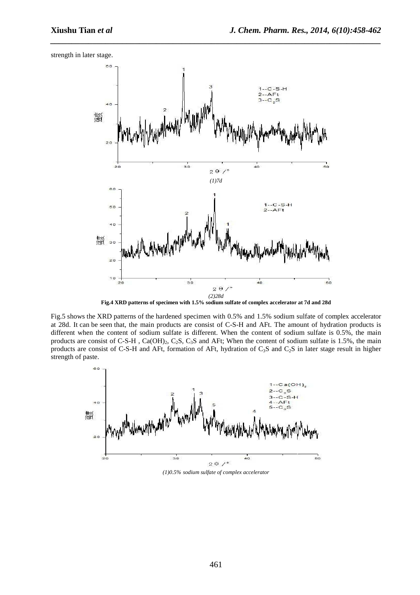strength in later stage.



*\_\_\_\_\_\_\_\_\_\_\_\_\_\_\_\_\_\_\_\_\_\_\_\_\_\_\_\_\_\_\_\_\_\_\_\_\_\_\_\_\_\_\_\_\_\_\_\_\_\_\_\_\_\_\_\_\_\_\_\_\_\_\_\_\_\_\_\_\_\_\_\_\_\_\_\_\_\_*

**Fig.4 XRD patterns of specimen with 1.5% sodium sulfate of complex accelerator at 7d and 28d** 

Fig.5 shows the XRD patterns of the hardened specimen with 0.5% and 1.5% sodium sulfate of complex accelerator at 28d. It can be seen that, the main products are consist of C-S-H and AFt. The amount of hydration products is different when the content of sodium sulfate is different. When the content of sodium sulfate is 0.5%, the main products are consist of C-S-H,  $Ca(OH)_2$ ,  $C_2S$ ,  $C_3S$  and AFt; When the content of sodium sulfate is 1.5%, the main products are consist of C-S-H and AFt, formation of AFt, hydration of  $C_3S$  and  $C_2S$  in later stage result in higher strength of paste.